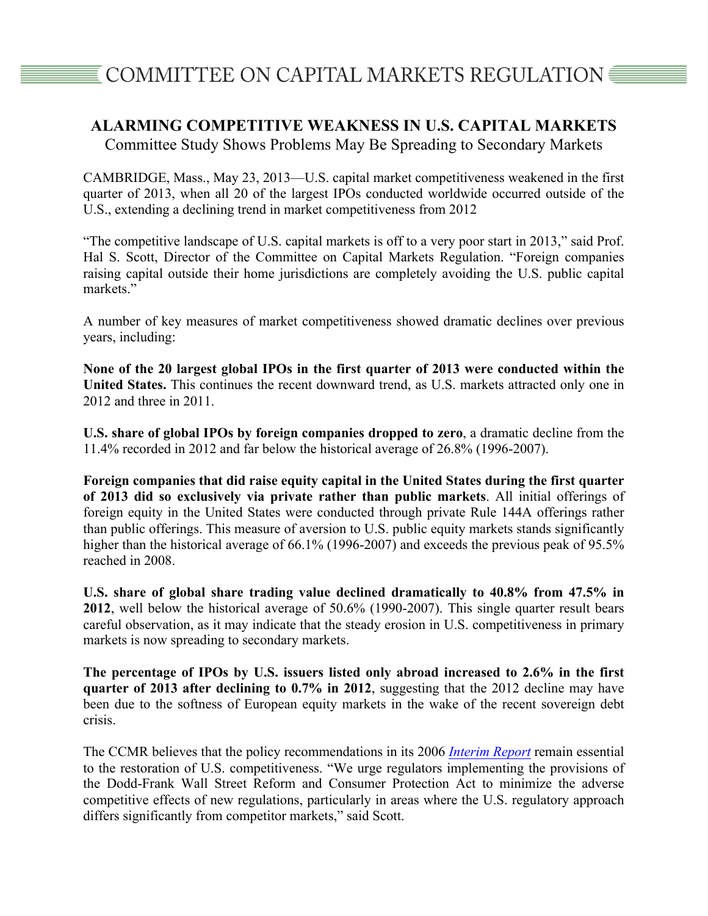## **ALARMING COMPETITIVE WEAKNESS IN U.S. CAPITAL MARKETS**

Committee Study Shows Problems May Be Spreading to Secondary Markets

CAMBRIDGE, Mass., May 23, 2013—U.S. capital market competitiveness weakened in the first quarter of 2013, when all 20 of the largest IPOs conducted worldwide occurred outside of the U.S., extending a declining trend in market competitiveness from 2012

"The competitive landscape of U.S. capital markets is off to a very poor start in 2013," said Prof. Hal S. Scott, Director of the Committee on Capital Markets Regulation. "Foreign companies raising capital outside their home jurisdictions are completely avoiding the U.S. public capital markets."

A number of key measures of market competitiveness showed dramatic declines over previous years, including:

**None of the 20 largest global IPOs in the first quarter of 2013 were conducted within the United States.** This continues the recent downward trend, as U.S. markets attracted only one in 2012 and three in 2011.

**U.S. share of global IPOs by foreign companies dropped to zero**, a dramatic decline from the 11.4% recorded in 2012 and far below the historical average of 26.8% (1996-2007).

**Foreign companies that did raise equity capital in the United States during the first quarter of 2013 did so exclusively via private rather than public markets**. All initial offerings of foreign equity in the United States were conducted through private Rule 144A offerings rather than public offerings. This measure of aversion to U.S. public equity markets stands significantly higher than the historical average of 66.1% (1996-2007) and exceeds the previous peak of 95.5% reached in 2008.

**U.S. share of global share trading value declined dramatically to 40.8% from 47.5% in 2012**, well below the historical average of 50.6% (1990-2007). This single quarter result bears careful observation, as it may indicate that the steady erosion in U.S. competitiveness in primary markets is now spreading to secondary markets.

**The percentage of IPOs by U.S. issuers listed only abroad increased to 2.6% in the first quarter of 2013 after declining to 0.7% in 2012**, suggesting that the 2012 decline may have been due to the softness of European equity markets in the wake of the recent sovereign debt crisis.

The CCMR believes that the policy recommendations in its 2006 *Interim Report* remain essential to the restoration of U.S. competitiveness. "We urge regulators implementing the provisions of the Dodd-Frank Wall Street Reform and Consumer Protection Act to minimize the adverse competitive effects of new regulations, particularly in areas where the U.S. regulatory approach differs significantly from competitor markets," said Scott.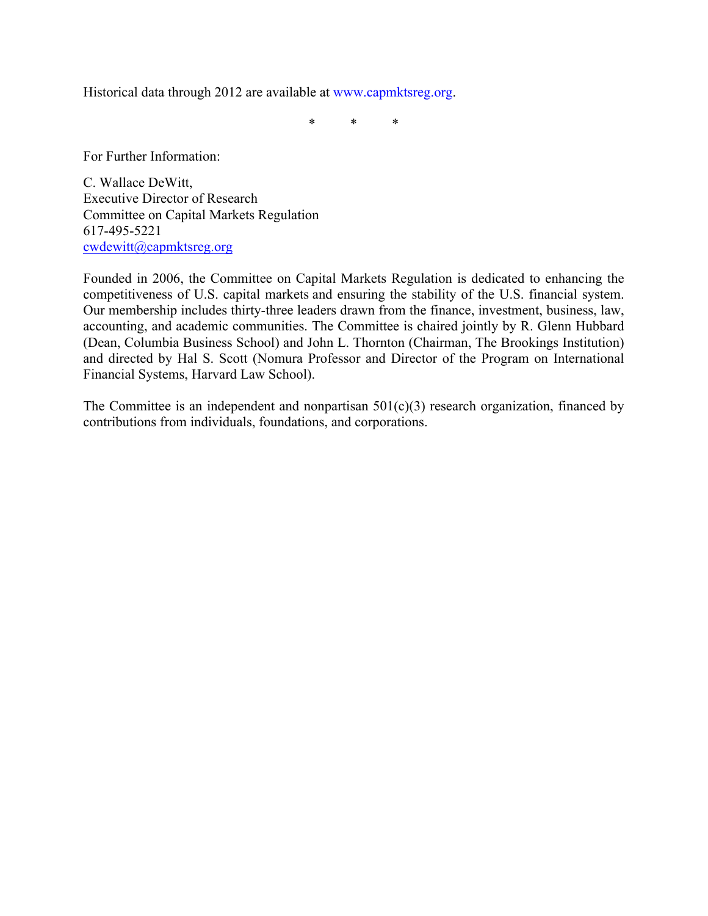Historical data through 2012 are available at www.capmktsreg.org.

\* \* \*

For Further Information:

C. Wallace DeWitt, Executive Director of Research Committee on Capital Markets Regulation 617-495-5221 cwdewitt@capmktsreg.org

Founded in 2006, the Committee on Capital Markets Regulation is dedicated to enhancing the competitiveness of U.S. capital markets and ensuring the stability of the U.S. financial system. Our membership includes thirty-three leaders drawn from the finance, investment, business, law, accounting, and academic communities. The Committee is chaired jointly by R. Glenn Hubbard (Dean, Columbia Business School) and John L. Thornton (Chairman, The Brookings Institution) and directed by Hal S. Scott (Nomura Professor and Director of the Program on International Financial Systems, Harvard Law School).

The Committee is an independent and nonpartisan  $501(c)(3)$  research organization, financed by contributions from individuals, foundations, and corporations.